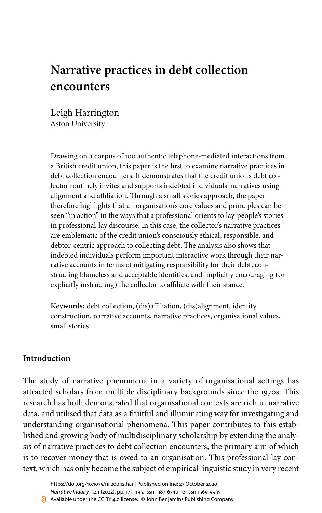# **Narrative practices in debt collection encounters**

Leigh Harrington Aston University

Drawing on a corpus of 100 authentic telephone-mediated interactions from a British credit union, this paper is the first to examine narrative practices in debt collection encounters. It demonstrates that the credit union's debt collector routinely invites and supports indebted individuals' narratives using alignment and affiliation. Through a small stories approach, the paper therefore highlights that an organisation's core values and principles can be seen "in action" in the ways that a professional orients to lay-people's stories in professional-lay discourse. In this case, the collector's narrative practices are emblematic of the credit union's consciously ethical, responsible, and debtor-centric approach to collecting debt. The analysis also shows that indebted individuals perform important interactive work through their narrative accounts in terms of mitigating responsibility for their debt, constructing blameless and acceptable identities, and implicitly encouraging (or explicitly instructing) the collector to affiliate with their stance.

**Keywords:** debt collection, (dis)affiliation, (dis)alignment, identity construction, narrative accounts, narrative practices, organisational values, small stories

# **Introduction**

The study of narrative phenomena in a variety of organisational settings has attracted scholars from multiple disciplinary backgrounds since the 1970s. This research has both demonstrated that organisational contexts are rich in narrative data, and utilised that data as a fruitful and illuminating way for investigating and understanding organisational phenomena. This paper contributes to this established and growing body of multidisciplinary scholarship by extending the analysis of narrative practices to debt collection encounters, the primary aim of which is to recover money that is owed to an organisation. This professional-lay context, which has only become the subject of empirical linguistic study in very recent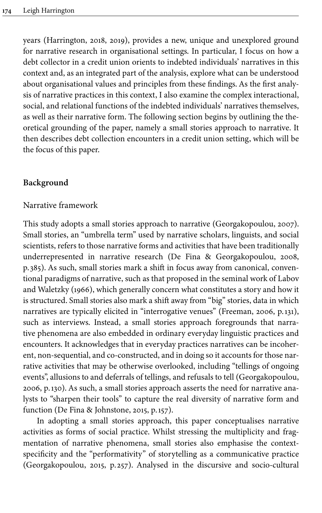years [\(Harrington, 2018](#page-20-0), [2019\)](#page-20-1), provides a new, unique and unexplored ground for narrative research in organisational settings. In particular, I focus on how a debt collector in a credit union orients to indebted individuals' narratives in this context and, as an integrated part of the analysis, explore what can be understood about organisational values and principles from these findings. As the first analysis of narrative practices in this context, I also examine the complex interactional, social, and relational functions of the indebted individuals' narratives themselves, as well as their narrative form. The following section begins by outlining the theoretical grounding of the paper, namely a small stories approach to narrative. It then describes debt collection encounters in a credit union setting, which will be the focus of this paper.

# **Background**

#### Narrative framework

This study adopts a small stories approach to narrative ([Georgakopoulou, 2007\)](#page-20-2). Small stories, an "umbrella term" used by narrative scholars, linguists, and social scientists, refers to those narrative forms and activities that have been traditionally underrepresented in narrative research [\(De Fina & Georgakopoulou, 2008](#page-19-0), p. 385). As such, small stories mark a shift in focus away from canonical, conventional paradigms of narrative, such as that proposed in the seminal work of [Labov](#page-21-0) [and Waletzky \(1966\)](#page-21-0), which generally concern what constitutes a story and how it is structured. Small stories also mark a shift away from "big" stories, data in which narratives are typically elicited in "interrogative venues" [\(Freeman, 2006,](#page-20-3) p.131), such as interviews. Instead, a small stories approach foregrounds that narrative phenomena are also embedded in ordinary everyday linguistic practices and encounters. It acknowledges that in everyday practices narratives can be incoherent, non-sequential, and co-constructed, and in doing so it accounts for those narrative activities that may be otherwise overlooked, including "tellings of ongoing events", allusions to and deferrals of tellings, and refusals to tell ([Georgakopoulou,](#page-20-4) [2006](#page-20-4), p.130). As such, a small stories approach asserts the need for narrative analysts to "sharpen their tools" to capture the real diversity of narrative form and function ([De Fina & Johnstone, 2015](#page-19-1), p.157).

In adopting a small stories approach, this paper conceptualises narrative activities as forms of social practice. Whilst stressing the multiplicity and fragmentation of narrative phenomena, small stories also emphasise the contextspecificity and the "performativity" of storytelling as a communicative practice [\(Georgakopoulou, 2015,](#page-20-5) p. 257). Analysed in the discursive and socio-cultural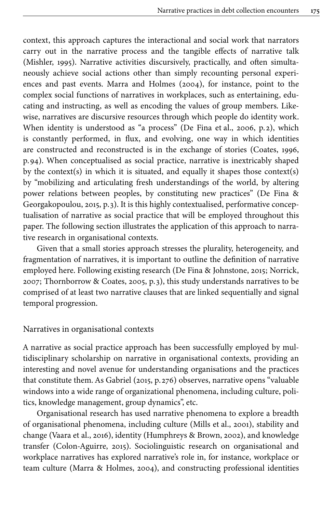context, this approach captures the interactional and social work that narrators carry out in the narrative process and the tangible effects of narrative talk [\(Mishler, 1995](#page-21-1)). Narrative activities discursively, practically, and often simultaneously achieve social actions other than simply recounting personal experiences and past events. [Marra and Holmes \(2004\)](#page-21-2), for instance, point to the complex social functions of narratives in workplaces, such as entertaining, educating and instructing, as well as encoding the values of group members. Likewise, narratives are discursive resources through which people do identity work. When identity is understood as "a process" [\(De Fina et](#page-20-6) al., 2006, p.2), which is constantly performed, in flux, and evolving, one way in which identities are constructed and reconstructed is in the exchange of stories [\(Coates, 1996](#page-19-2), p.94). When conceptualised as social practice, narrative is inextricably shaped by the context(s) in which it is situated, and equally it shapes those context(s) by "mobilizing and articulating fresh understandings of the world, by altering power relations between peoples, by constituting new practices" [\(De Fina &](#page-19-3) [Georgakopoulou, 2015](#page-19-3), p. 3). It is this highly contextualised, performative conceptualisation of narrative as social practice that will be employed throughout this paper. The following section illustrates the application of this approach to narrative research in organisational contexts.

Given that a small stories approach stresses the plurality, heterogeneity, and fragmentation of narratives, it is important to outline the definition of narrative employed here. Following existing research [\(De Fina & Johnstone, 2015](#page-19-1); [Norrick,](#page-21-3) [2007;](#page-21-3) [Thornborrow & Coates, 2005,](#page-21-4) p. 3), this study understands narratives to be comprised of at least two narrative clauses that are linked sequentially and signal temporal progression.

### Narratives in organisational contexts

A narrative as social practice approach has been successfully employed by multidisciplinary scholarship on narrative in organisational contexts, providing an interesting and novel avenue for understanding organisations and the practices that constitute them. As Gabriel [\(2015,](#page-20-7) p. 276) observes, narrative opens "valuable windows into a wide range of organizational phenomena, including culture, politics, knowledge management, group dynamics", etc.

Organisational research has used narrative phenomena to explore a breadth of organisational phenomena, including culture (Mills et [al., 2001\)](#page-21-5), stability and change [\(Vaara et](#page-21-6) al., 2016), identity [\(Humphreys & Brown, 2002](#page-20-8)), and knowledge transfer [\(Colon-Aguirre, 2015\)](#page-19-4). Sociolinguistic research on organisational and workplace narratives has explored narrative's role in, for instance, workplace or team culture [\(Marra & Holmes, 2004\)](#page-21-2), and constructing professional identities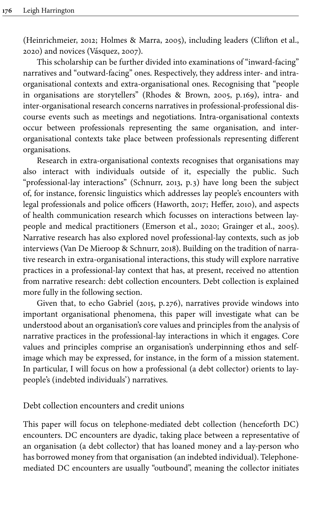[\(Heinrichmeier, 2012](#page-20-9); [Holmes & Marra, 2005](#page-20-10)), including leaders ([Clifton et](#page-19-5) al., [2020\)](#page-19-5) and novices ([Vásquez, 2007](#page-22-1)).

This scholarship can be further divided into examinations of "inward-facing" narratives and "outward-facing" ones. Respectively, they address inter- and intraorganisational contexts and extra-organisational ones. Recognising that "people in organisations are storytellers" [\(Rhodes & Brown, 2005,](#page-21-7) p.169), intra- and inter-organisational research concerns narratives in professional-professional discourse events such as meetings and negotiations. Intra-organisational contexts occur between professionals representing the same organisation, and interorganisational contexts take place between professionals representing different organisations.

Research in extra-organisational contexts recognises that organisations may also interact with individuals outside of it, especially the public. Such "professional-lay interactions" [\(Schnurr, 2013,](#page-21-8) p. 3) have long been the subject of, for instance, forensic linguistics which addresses lay people's encounters with legal professionals and police officers ([Haworth, 2017;](#page-20-11) [Heffer, 2010](#page-20-12)), and aspects of health communication research which focusses on interactions between laypeople and medical practitioners ([Emerson et](#page-20-13) al., 2020; [Grainger et](#page-20-14) al., 2005). Narrative research has also explored novel professional-lay contexts, such as job interviews [\(Van De Mieroop & Schnurr, 2018\)](#page-22-2). Building on the tradition of narrative research in extra-organisational interactions, this study will explore narrative practices in a professional-lay context that has, at present, received no attention from narrative research: debt collection encounters. Debt collection is explained more fully in the following section.

Given that, to echo Gabriel ([2015,](#page-20-7) p. 276), narratives provide windows into important organisational phenomena, this paper will investigate what can be understood about an organisation's core values and principles from the analysis of narrative practices in the professional-lay interactions in which it engages. Core values and principles comprise an organisation's underpinning ethos and selfimage which may be expressed, for instance, in the form of a mission statement. In particular, I will focus on how a professional (a debt collector) orients to laypeople's (indebted individuals') narratives.

Debt collection encounters and credit unions

This paper will focus on telephone-mediated debt collection (henceforth DC) encounters. DC encounters are dyadic, taking place between a representative of an organisation (a debt collector) that has loaned money and a lay-person who has borrowed money from that organisation (an indebted individual). Telephonemediated DC encounters are usually "outbound", meaning the collector initiates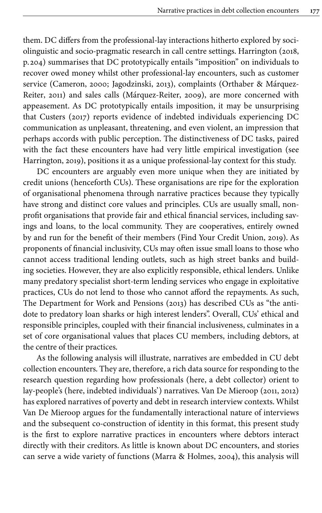them. DC differs from the professional-lay interactions hitherto explored by sociolinguistic and socio-pragmatic research in call centre settings. Harrington ([2018](#page-20-0), p. 204) summarises that DC prototypically entails "imposition" on individuals to recover owed money whilst other professional-lay encounters, such as customer service ([Cameron, 2000;](#page-19-6) [Jagodzinski, 2013](#page-21-9)), complaints ([Orthaber &](#page-21-10) Márquez-[Reiter, 2011](#page-21-10)) and sales calls ([Márquez-Reiter, 2009](#page-21-11)), are more concerned with appeasement. As DC prototypically entails imposition, it may be unsurprising that [Custers \(2017\)](#page-19-7) reports evidence of indebted individuals experiencing DC communication as unpleasant, threatening, and even violent, an impression that perhaps accords with public perception. The distinctiveness of DC tasks, paired with the fact these encounters have had very little empirical investigation (see [Harrington, 2019\)](#page-20-1), positions it as a unique professional-lay context for this study.

DC encounters are arguably even more unique when they are initiated by credit unions (henceforth CUs). These organisations are ripe for the exploration of organisational phenomena through narrative practices because they typically have strong and distinct core values and principles. CUs are usually small, nonprofit organisations that provide fair and ethical financial services, including savings and loans, to the local community. They are cooperatives, entirely owned by and run for the benefit of their members ([Find Your Credit Union, 2019\)](#page-20-15). As proponents of financial inclusivity, CUs may often issue small loans to those who cannot access traditional lending outlets, such as high street banks and building societies. However, they are also explicitly responsible, ethical lenders. Unlike many predatory specialist short-term lending services who engage in exploitative practices, CUs do not lend to those who cannot afford the repayments. As such, The [Department for Work and Pensions \(2013\)](#page-19-8) has described CUs as "the antidote to predatory loan sharks or high interest lenders". Overall, CUs' ethical and responsible principles, coupled with their financial inclusiveness, culminates in a set of core organisational values that places CU members, including debtors, at the centre of their practices.

As the following analysis will illustrate, narratives are embedded in CU debt collection encounters. They are, therefore, a rich data source for responding to the research question regarding how professionals (here, a debt collector) orient to lay-people's (here, indebted individuals') narratives. Van De Mieroop ([2011,](#page-22-3) [2012\)](#page-22-4) has explored narratives of poverty and debt in research interview contexts. Whilst Van De Mieroop argues for the fundamentally interactional nature of interviews and the subsequent co-construction of identity in this format, this present study is the first to explore narrative practices in encounters where debtors interact directly with their creditors. As little is known about DC encounters, and stories can serve a wide variety of functions ([Marra & Holmes, 2004\)](#page-21-2), this analysis will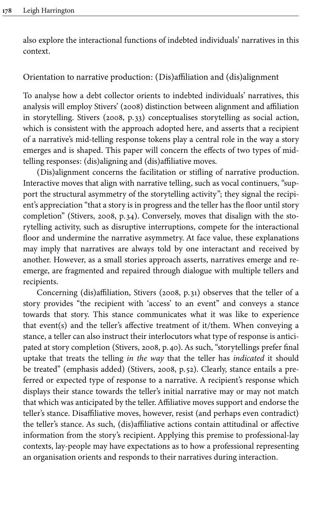also explore the interactional functions of indebted individuals' narratives in this context.

# Orientation to narrative production: (Dis)affiliation and (dis)alignment

To analyse how a debt collector orients to indebted individuals' narratives, this analysis will employ [Stivers' \(2008\)](#page-21-12) distinction between alignment and affiliation in storytelling. Stivers ([2008](#page-21-12), p. 33) conceptualises storytelling as social action, which is consistent with the approach adopted here, and asserts that a recipient of a narrative's mid-telling response tokens play a central role in the way a story emerges and is shaped. This paper will concern the effects of two types of midtelling responses: (dis)aligning and (dis)affiliative moves.

(Dis)alignment concerns the facilitation or stifling of narrative production. Interactive moves that align with narrative telling, such as vocal continuers, "support the structural asymmetry of the storytelling activity"; they signal the recipient's appreciation "that a story is in progress and the teller has the floor until story completion" ([Stivers, 2008](#page-21-12), p. 34). Conversely, moves that disalign with the storytelling activity, such as disruptive interruptions, compete for the interactional floor and undermine the narrative asymmetry. At face value, these explanations may imply that narratives are always told by one interactant and received by another. However, as a small stories approach asserts, narratives emerge and reemerge, are fragmented and repaired through dialogue with multiple tellers and recipients.

Concerning (dis)affiliation, Stivers ([2008](#page-21-12), p. 31) observes that the teller of a story provides "the recipient with 'access' to an event" and conveys a stance towards that story. This stance communicates what it was like to experience that event(s) and the teller's affective treatment of it/them. When conveying a stance, a teller can also instruct their interlocutors what type of response is anticipated at story completion ([Stivers, 2008](#page-21-12), p.40). As such, "storytellings prefer final uptake that treats the telling *in the way* that the teller has *indicated* it should be treated" (emphasis added) [\(Stivers, 2008](#page-21-12), p. 52). Clearly, stance entails a preferred or expected type of response to a narrative. A recipient's response which displays their stance towards the teller's initial narrative may or may not match that which was anticipated by the teller. Affiliative moves support and endorse the teller's stance. Disaffiliative moves, however, resist (and perhaps even contradict) the teller's stance. As such, (dis)affiliative actions contain attitudinal or affective information from the story's recipient. Applying this premise to professional-lay contexts, lay-people may have expectations as to how a professional representing an organisation orients and responds to their narratives during interaction.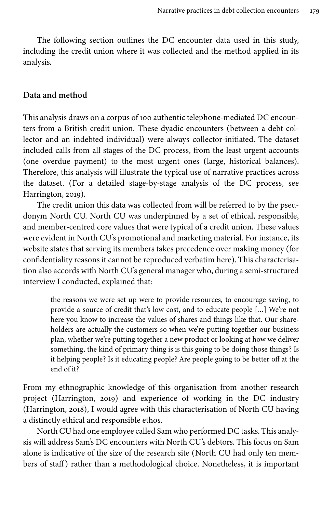The following section outlines the DC encounter data used in this study, including the credit union where it was collected and the method applied in its analysis.

#### **Data and method**

This analysis draws on a corpus of 100 authentic telephone-mediated DC encounters from a British credit union. These dyadic encounters (between a debt collector and an indebted individual) were always collector-initiated. The dataset included calls from all stages of the DC process, from the least urgent accounts (one overdue payment) to the most urgent ones (large, historical balances). Therefore, this analysis will illustrate the typical use of narrative practices across the dataset. (For a detailed stage-by-stage analysis of the DC process, see [Harrington, 2019\)](#page-20-1).

The credit union this data was collected from will be referred to by the pseudonym North CU. North CU was underpinned by a set of ethical, responsible, and member-centred core values that were typical of a credit union. These values were evident in North CU's promotional and marketing material. For instance, its website states that serving its members takes precedence over making money (for confidentiality reasons it cannot be reproduced verbatim here). This characterisation also accords with North CU's general manager who, during a semi-structured interview I conducted, explained that:

> the reasons we were set up were to provide resources, to encourage saving, to provide a source of credit that's low cost, and to educate people […] We're not here you know to increase the values of shares and things like that. Our shareholders are actually the customers so when we're putting together our business plan, whether we're putting together a new product or looking at how we deliver something, the kind of primary thing is is this going to be doing those things? Is it helping people? Is it educating people? Are people going to be better off at the end of it?

From my ethnographic knowledge of this organisation from another research project [\(Harrington, 2019\)](#page-20-1) and experience of working in the DC industry [\(Harrington, 2018\)](#page-20-0), I would agree with this characterisation of North CU having a distinctly ethical and responsible ethos.

North CU had one employee called Sam who performed DC tasks. This analysis will address Sam's DC encounters with North CU's debtors. This focus on Sam alone is indicative of the size of the research site (North CU had only ten members of staff) rather than a methodological choice. Nonetheless, it is important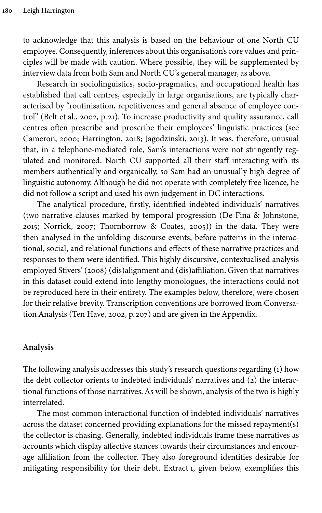to acknowledge that this analysis is based on the behaviour of one North CU employee. Consequently, inferences about this organisation's core values and principles will be made with caution. Where possible, they will be supplemented by interview data from both Sam and North CU's general manager, as above.

Research in sociolinguistics, socio-pragmatics, and occupational health has established that call centres, especially in large organisations, are typically characterised by "routinisation, repetitiveness and general absence of employee control" (Belt et [al., 2002](#page-19-9), p. 21). To increase productivity and quality assurance, call centres often prescribe and proscribe their employees' linguistic practices (see [Cameron, 2000;](#page-19-6) [Harrington, 2018;](#page-20-0) [Jagodzinski, 2013](#page-21-9)). It was, therefore, unusual that, in a telephone-mediated role, Sam's interactions were not stringently regulated and monitored. North CU supported all their staff interacting with its members authentically and organically, so Sam had an unusually high degree of linguistic autonomy. Although he did not operate with completely free licence, he did not follow a script and used his own judgement in DC interactions.

The analytical procedure, firstly, identified indebted individuals' narratives (two narrative clauses marked by temporal progression [\(De Fina & Johnstone,](#page-19-1) [2015](#page-19-1); [Norrick, 2007;](#page-21-3) [Thornborrow & Coates, 2005\)](#page-21-4)) in the data. They were then analysed in the unfolding discourse events, before patterns in the interactional, social, and relational functions and effects of these narrative practices and responses to them were identified. This highly discursive, contextualised analysis employed [Stivers' \(2008\)](#page-21-12) (dis)alignment and (dis)affiliation. Given that narratives in this dataset could extend into lengthy monologues, the interactions could not be reproduced here in their entirety. The examples below, therefore, were chosen for their relative brevity. Transcription conventions are borrowed from Conversation Analysis ([Ten Have, 2002,](#page-21-13) p. 207) and are given in the [Appendix.](#page-22-5)

#### **Analysis**

The following analysis addresses this study's research questions regarding (1) how the debt collector orients to indebted individuals' narratives and (2) the interactional functions of those narratives. As will be shown, analysis of the two is highly interrelated.

The most common interactional function of indebted individuals' narratives across the dataset concerned providing explanations for the missed repayment(s) the collector is chasing. Generally, indebted individuals frame these narratives as accounts which display affective stances towards their circumstances and encourage affiliation from the collector. They also foreground identities desirable for mitigating responsibility for their debt. [Extract](#page-8-0) 1, given below, exemplifies this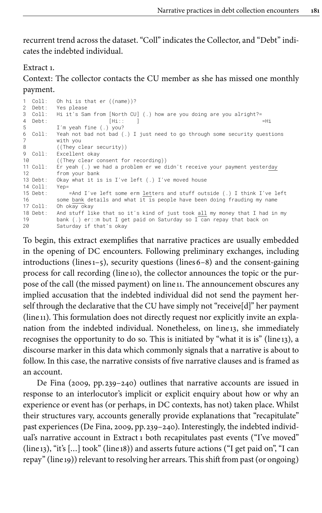recurrent trend across the dataset. "Coll" indicates the Collector, and "Debt" indicates the indebted individual.

<span id="page-8-0"></span>Extract 1.

Context: The collector contacts the CU member as she has missed one monthly payment.

```
1 Coll: Oh hi is that er ((name))?<br>2 Debt: Yes please
            Yes please
3 Coll: Hi it's Sam from [North CU] (.) how are you doing are you alright?=
4 Debt: [Hi:: ] =Hi
5 I'm yeah fine (.) you?
6 Coll: Yeah not bad not bad (.) I just need to go through some security questions
            with you
8 ((They clear security))
9 Coll: Excellent okay<br>10 (They clear c
10 ((They clear consent for recording))<br>11 Coll: Er yeah (.) we had a problem er we d
          11 Colleg Collective Collective Collections (11 Collections Collections Collections Crusser Collections Er yeah (11 Decrement yester<u>day</u>
12 from your bank
13 Debt: Okay what it is is I've left (.) I've moved house
14 Coll: Yep=
15 Debt: =And I've left some erm letters and stuff outside (.) I think I've left<br>16 Some bank details and what it is people bave been doing frauding my name
            some bank details and what it is people have been doing frauding my name
17 Coll: Oh okay okay
18 Debt: And stuff like that so it's kind of just took \underline{\text{all}} my money that I had in my<br>19 bank ( ) er: m but I get paid on Saturday so I can repay that back on
            bank (.) er::m but I get paid on Saturday so I can repay that back on
20 Saturday if that's okay
```
To begin, this extract exemplifies that narrative practices are usually embedded in the opening of DC encounters. Following preliminary exchanges, including introductions (lines  $1-5$ ), security questions (lines  $6-8$ ) and the consent-gaining process for call recording (line 10), the collector announces the topic or the purpose of the call (the missed payment) on line 11. The announcement obscures any implied accusation that the indebted individual did not send the payment herself through the declarative that the CU have simply not "receive[d]" her payment (line 11). This formulation does not directly request nor explicitly invite an explanation from the indebted individual. Nonetheless, on line 13, she immediately recognises the opportunity to do so. This is initiated by "what it is is" (line 13), a discourse marker in this data which commonly signals that a narrative is about to follow. In this case, the narrative consists of five narrative clauses and is framed as an account.

De Fina [\(2009,](#page-19-10)  $pp. 239-240$ ) outlines that narrative accounts are issued in response to an interlocutor's implicit or explicit enquiry about how or why an experience or event has (or perhaps, in DC contexts, has not) taken place. Whilst their structures vary, accounts generally provide explanations that "recapitulate" past experiences ([De Fina, 2009,](#page-19-10) pp. 239–240). Interestingly, the indebted individual's narrative account in [Extract](#page-8-0) 1 both recapitulates past events ("I've moved"  $(line_{13})$ , "it's  $[...]$  took"  $(line_{18})$  and asserts future actions ("I get paid on", "I can repay" (line 19)) relevant to resolving her arrears. This shift from past (or ongoing)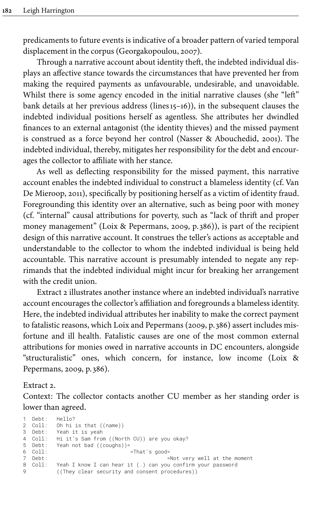predicaments to future events is indicative of a broader pattern of varied temporal displacement in the corpus ([Georgakopoulou,](#page-20-2) 2007).

Through a narrative account about identity theft, the indebted individual displays an affective stance towards the circumstances that have prevented her from making the required payments as unfavourable, undesirable, and unavoidable. Whilst there is some agency encoded in the initial narrative clauses (she "left" bank details at her previous address (lines15–16)), in the subsequent clauses the indebted individual positions herself as agentless. She attributes her dwindled finances to an external antagonist (the identity thieves) and the missed payment is construed as a force beyond her control [\(Nasser & Abouchedid, 2001](#page-21-14)). The indebted individual, thereby, mitigates her responsibility for the debt and encourages the collector to affiliate with her stance.

As well as deflecting responsibility for the missed payment, this narrative account enables the indebted individual to construct a blameless identity (cf. [Van](#page-22-3) [De Mieroop, 2011](#page-22-3)), specifically by positioning herself as a victim of identity fraud. Foregrounding this identity over an alternative, such as being poor with money (cf. "internal" causal attributions for poverty, such as "lack of thrift and proper money management" ([Loix & Pepermans, 2009,](#page-21-15) p. 386)), is part of the recipient design of this narrative account. It construes the teller's actions as acceptable and understandable to the collector to whom the indebted individual is being held accountable. This narrative account is presumably intended to negate any reprimands that the indebted individual might incur for breaking her arrangement with the credit union.

[Extract](#page-9-0) 2 illustrates another instance where an indebted individual's narrative account encourages the collector's affiliation and foregrounds a blameless identity. Here, the indebted individual attributes her inability to make the correct payment to fatalistic reasons, which Loix and Pepermans [\(2009,](#page-21-15) p. 386) assert includes misfortune and ill health. Fatalistic causes are one of the most common external attributions for monies owed in narrative accounts in DC encounters, alongside "structuralistic" ones, which concern, for instance, low income [\(Loix &](#page-21-15) [Pepermans, 2009,](#page-21-15) p. 386).

#### <span id="page-9-0"></span>Extract 2.

Context: The collector contacts another CU member as her standing order is lower than agreed.

```
1 Debt: Hello?
2 Coll: Oh hi is that ((name))
3 Debt: Yeah it is yeah
4 Coll: Hi it's Sam from ((North CU)) are you okay?
5 Debt: Yeah not bad ((coughs))=<br>6 Coll:<br>7 Debt:<br>8 Coll: Yeah I know I can hear i
                                       =That's good=
                                                    =Not very well at the moment
            Yeah I know I can hear it (.) can you confirm your password
9 ((They clear security and consent procedures))
```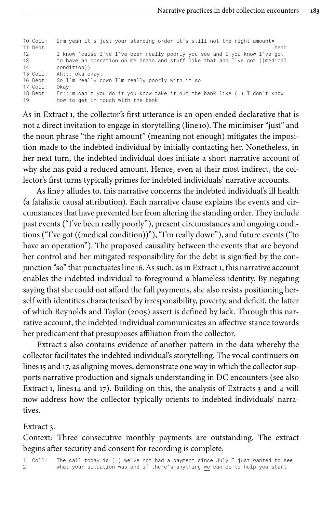| Erm yeah it's just your standing order it's still not the right amount=      |
|------------------------------------------------------------------------------|
| $=$ Yeah                                                                     |
| I know 'cause I've I've been really poorly you see and I you know I've got   |
| to have an operation on me brain and stuff like that and I've got ((medical  |
| condition))                                                                  |
| Ah::: oka okay.                                                              |
| So I'm really down I'm really poorly with it so                              |
| 0kav                                                                         |
| $E:$ ::m can't you do it you know take it out the bank like (.) I don't know |
| how to get in touch with the bank                                            |
|                                                                              |

As in [Extract](#page-8-0) 1, the collector's first utterance is an open-ended declarative that is not a direct invitation to engage in storytelling (line 10). The minimiser "just" and the noun phrase "the right amount" (meaning not enough) mitigates the imposition made to the indebted individual by initially contacting her. Nonetheless, in her next turn, the indebted individual does initiate a short narrative account of why she has paid a reduced amount. Hence, even at their most indirect, the collector's first turns typically primes for indebted individuals' narrative accounts.

As line 7 alludes to, this narrative concerns the indebted individual's ill health (a fatalistic causal attribution). Each narrative clause explains the events and circumstances that have prevented her from altering the standing order. They include past events ("I've been really poorly"), present circumstances and ongoing conditions ("I've got ((medical condition))"), "I'm really down"), and future events ("to have an operation"). The proposed causality between the events that are beyond her control and her mitigated responsibility for the debt is signified by the conjunction "so" that punctuates line 16. As such, as in [Extract](#page-8-0) 1, this narrative account enables the indebted individual to foreground a blameless identity. By negating saying that she could not afford the full payments, she also resists positioning herself with identities characterised by irresponsibility, poverty, and deficit, the latter of which [Reynolds and Taylor \(2005\)](#page-21-16) assert is defined by lack. Through this narrative account, the indebted individual communicates an affective stance towards her predicament that presupposes affiliation from the collector.

[Extract](#page-9-0) 2 also contains evidence of another pattern in the data whereby the collector facilitates the indebted individual's storytelling. The vocal continuers on lines 15 and 17, as aligning moves, demonstrate one way in which the collector supports narrative production and signals understanding in DC encounters (see also [Extract](#page-8-0) 1, lines14 and 17). Building on this, the analysis of [Extracts](#page-10-0) 3 and [4](#page-12-0) will now address how the collector typically orients to indebted individuals' narratives.

#### <span id="page-10-0"></span>Extract 3.

Context: Three consecutive monthly payments are outstanding. The extract begins after security and consent for recording is complete.

1 Coll: The call today is (.) we've not had a payment since July I just wanted to see 2 what your situation was and if there's anything we can do to help you start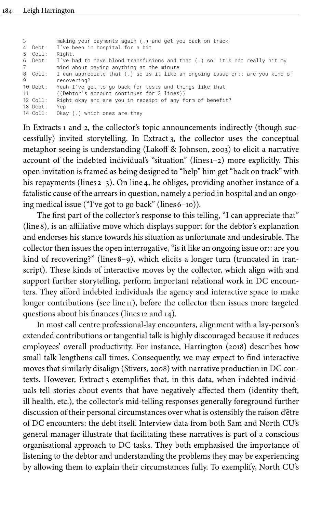|          | making your payments again (.) and get you back on track                      |
|----------|-------------------------------------------------------------------------------|
|          | 4 Debt: I've been in hospital for a bit                                       |
| 5 Coll:  | Right.                                                                        |
| 6 Debt:  | I've had to have blood transfusions and that (.) so: it's not really hit my   |
|          | mind about paying anything at the minute                                      |
| 8 Coll:  | I can appreciate that (.) so is it like an ongoing issue or:: are you kind of |
|          | recovering?                                                                   |
| 10 Debt: | Yeah I've got to go back for tests and things like that                       |
| 11       | ((Debtor's account continues for 3 lines))                                    |
| 12 Coll: | Right okay and are you in receipt of any form of benefit?                     |
| 13 Debt: | Yep                                                                           |
| 14 Coll: | Okay $(.)$ which ones are they                                                |
|          |                                                                               |

In [Extracts](#page-8-0) 1 and [2](#page-9-0), the collector's topic announcements indirectly (though successfully) invited storytelling. In [Extract](#page-10-0) 3, the collector uses the conceptual metaphor seeing is understanding ([Lakoff & Johnson, 2003](#page-21-17)) to elicit a narrative account of the indebted individual's "situation" (lines1–2) more explicitly. This open invitation is framed as being designed to "help" him get "back on track" with his repayments (lines 2-3). On line 4, he obliges, providing another instance of a fatalistic cause of the arrears in question, namely a period in hospital and an ongoing medical issue ("I've got to go back" (lines  $6-10$ )).

The first part of the collector's response to this telling, "I can appreciate that" (line8), is an affiliative move which displays support for the debtor's explanation and endorses his stance towards his situation as unfortunate and undesirable. The collector then issues the open interrogative, "is it like an ongoing issue or:: are you kind of recovering?" (lines 8-9), which elicits a longer turn (truncated in transcript). These kinds of interactive moves by the collector, which align with and support further storytelling, perform important relational work in DC encounters. They afford indebted individuals the agency and interactive space to make longer contributions (see line 11), before the collector then issues more targeted questions about his finances (lines 12 and 14).

In most call centre professional-lay encounters, alignment with a lay-person's extended contributions or tangential talk is highly discouraged because it reduces employees' overall productivity. For instance, [Harrington \(2018\)](#page-20-0) describes how small talk lengthens call times. Consequently, we may expect to find interactive moves that similarly disalign ([Stivers, 2008\)](#page-21-12) with narrative production in DC contexts. However, [Extract](#page-10-0) 3 exemplifies that, in this data, when indebted individuals tell stories about events that have negatively affected them (identity theft, ill health, etc.), the collector's mid-telling responses generally foreground further discussion of their personal circumstances over what is ostensibly the raison d'être of DC encounters: the debt itself. Interview data from both Sam and North CU's general manager illustrate that facilitating these narratives is part of a conscious organisational approach to DC tasks. They both emphasised the importance of listening to the debtor and understanding the problems they may be experiencing by allowing them to explain their circumstances fully. To exemplify, North CU's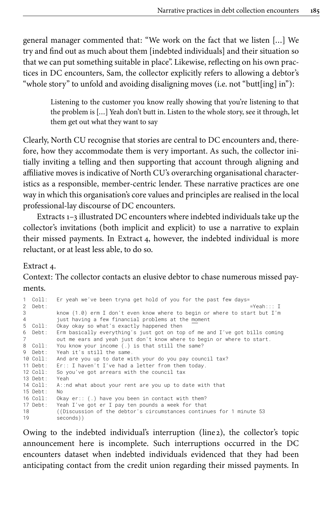general manager commented that: "We work on the fact that we listen […] We try and find out as much about them [indebted individuals] and their situation so that we can put something suitable in place". Likewise, reflecting on his own practices in DC encounters, Sam, the collector explicitly refers to allowing a debtor's "whole story" to unfold and avoiding disaligning moves (i.e. not "butt[ing] in"):

Listening to the customer you know really showing that you're listening to that the problem is […] Yeah don't butt in. Listen to the whole story, see it through, let them get out what they want to say

Clearly, North CU recognise that stories are central to DC encounters and, therefore, how they accommodate them is very important. As such, the collector initially inviting a telling and then supporting that account through aligning and affiliative moves is indicative of North CU's overarching organisational characteristics as a responsible, member-centric lender. These narrative practices are one way in which this organisation's core values and principles are realised in the local professional-lay discourse of DC encounters.

[Extracts](#page-8-0) 1[–3](#page-10-0) illustrated DC encounters where indebted individuals take up the collector's invitations (both implicit and explicit) to use a narrative to explain their missed payments. In [Extract](#page-12-0) 4, however, the indebted individual is more reluctant, or at least less able, to do so.

#### <span id="page-12-0"></span>Extract 4.

Context: The collector contacts an elusive debtor to chase numerous missed payments.

```
1 Coll: Er yeah we've been tryna get hold of you for the past few days=
2 Debt: =Yeah::: I
3 know (1.0) erm I don't even know where to begin or where to start but I'm
4 just having a few financial problems at the moment
5 Coll: Okay okay so what's exactly happened then
6 Debt: Erm basically everything's just got on top of me and I've got bills coming
7 out me ears and yeah just don't know where to begin or where to start.
8 Coll: You know your income (.) is that still the same?
9 Debt: Yeah it's still the same.<br>10 Coll: And are you up to date wi
          And are you up to date with your do you pay council tax?
11 Debt: Er:: I haven't I've had a letter from them today.<br>12 Coll: So you've got arrears with the council tax
          So you've got arrears with the council tax
13 Debt: Yeah<br>14 Coll: A::n
         A::nd what about your rent are you up to date with that
15 Debt: No
16 Coll: Okay er:: (.) have you been in contact with them?
17 Debt: Yeah I've got er I pay ten pounds a week for that
18 ((Discussion of the debtor's circumstances continues for 1 minute 53
19 seconds))
```
Owing to the indebted individual's interruption (line 2), the collector's topic announcement here is incomplete. Such interruptions occurred in the DC encounters dataset when indebted individuals evidenced that they had been anticipating contact from the credit union regarding their missed payments. In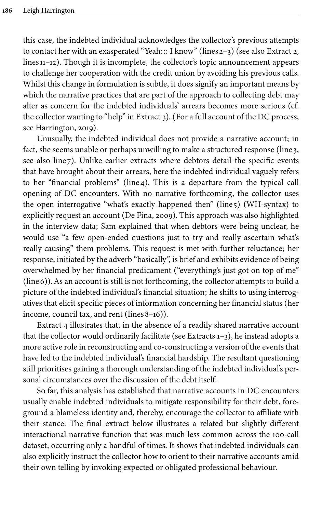this case, the indebted individual acknowledges the collector's previous attempts to contact her with an exasperated "Yeah::: I know" (lines 2–3) (see also [Extract](#page-9-0) 2, lines  $11-12$ ). Though it is incomplete, the collector's topic announcement appears to challenge her cooperation with the credit union by avoiding his previous calls. Whilst this change in formulation is subtle, it does signify an important means by which the narrative practices that are part of the approach to collecting debt may alter as concern for the indebted individuals' arrears becomes more serious (cf. the collector wanting to "help" in [Extract](#page-10-0) 3). (For a full account of the DC process, see [Harrington, 2019\)](#page-20-1).

Unusually, the indebted individual does not provide a narrative account; in fact, she seems unable or perhaps unwilling to make a structured response (line 3, see also line 7). Unlike earlier extracts where debtors detail the specific events that have brought about their arrears, here the indebted individual vaguely refers to her "financial problems" (line4). This is a departure from the typical call opening of DC encounters. With no narrative forthcoming, the collector uses the open interrogative "what's exactly happened then" (line 5) (WH-syntax) to explicitly request an account ([De Fina, 2009\)](#page-19-10). This approach was also highlighted in the interview data; Sam explained that when debtors were being unclear, he would use "a few open-ended questions just to try and really ascertain what's really causing" them problems. This request is met with further reluctance; her response, initiated by the adverb "basically", is brief and exhibits evidence of being overwhelmed by her financial predicament ("everything's just got on top of me" (line6)). As an account is still is not forthcoming, the collector attempts to build a picture of the indebted individual's financial situation; he shifts to using interrogatives that elicit specific pieces of information concerning her financial status (her income, council tax, and rent (lines  $8-16$ )).

[Extract](#page-12-0) 4 illustrates that, in the absence of a readily shared narrative account that the collector would ordinarily facilitate (see [Extracts](#page-8-0) 1–[3\)](#page-10-0), he instead adopts a more active role in reconstructing and co-constructing a version of the events that have led to the indebted individual's financial hardship. The resultant questioning still prioritises gaining a thorough understanding of the indebted individual's personal circumstances over the discussion of the debt itself.

So far, this analysis has established that narrative accounts in DC encounters usually enable indebted individuals to mitigate responsibility for their debt, foreground a blameless identity and, thereby, encourage the collector to affiliate with their stance. The final extract below illustrates a related but slightly different interactional narrative function that was much less common across the 100-call dataset, occurring only a handful of times. It shows that indebted individuals can also explicitly instruct the collector how to orient to their narrative accounts amid their own telling by invoking expected or obligated professional behaviour.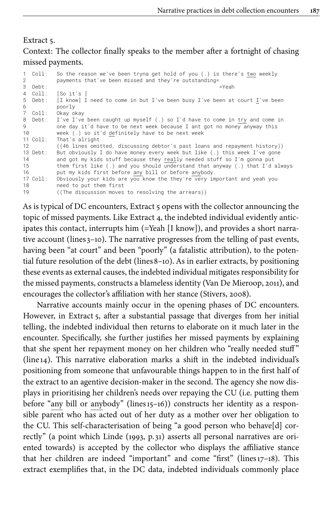# <span id="page-14-0"></span>Extract 5. Context: The collector finally speaks to the member after a fortnight of chasing missed payments.

```
1 Coll: So the reason we've been tryna get hold of you (.) is there's <u>two</u> weekly<br>2 mayments that've been missed and they're outstanding=
              payments that've been missed and they're outstanding=
3 Debt: = yeah = yeah = yeah = yeah = yeah = yeah = yeah = yeah = yeah = yeah = y
4 Coll: [So it's ]
5 Debt: [I know] I need to come in but I've been busy I've been at court \underline{I}'ve been 6
6 poorly
7 Coll: Okay okay
8 Debt: I've I've been caught up myself (.) so I'd have to come in try and come in<br>9 one dav it'd have to be next week because I ant got no money anyway this
9 one day it'd have to be next week because I ant got no money anyway this<br>10 week (.) so it'd definitely have to be next week
10 week (.) so it'd definitely have to be next week<br>11 Coll: That's alright
           That's alright
12 ((46 lines omitted, discussing debtor's past loans and repayment history))
13 Debt: But obviously I do have money every week but like (.) this week I've gone<br>14 and got my kids stuff because they really needed stuff so I'm gonna put
             and got my kids stuff because they really needed stuff so I'm gonna put
15 them first like (.) and you should understand that anyway (.) that I'd always<br>16 but my kids first before any bill or before anybody.
            put my kids first before any bill or before anybody.
17 Coll: Obviously your kids are you know the they're very important and yeah you
18 need to put them first<br>19 (The discussion moves
             ((The discussion moves to resolving the arrears))
```
As is typical of DC encounters, [Extract](#page-14-0) 5 opens with the collector announcing the topic of missed payments. Like [Extract](#page-12-0) 4, the indebted individual evidently anticipates this contact, interrupts him (=Yeah [I know]), and provides a short narrative account (lines 3–10). The narrative progresses from the telling of past events, having been "at court" and been "poorly" (a fatalistic attribution), to the potential future resolution of the debt (lines8–10). As in earlier extracts, by positioning these events as external causes, the indebted individual mitigates responsibility for the missed payments, constructs a blameless identity [\(Van De Mieroop, 2011](#page-22-3)), and encourages the collector's affiliation with her stance [\(Stivers, 2008](#page-21-12)).

Narrative accounts mainly occur in the opening phases of DC encounters. However, in [Extract](#page-14-0) 5, after a substantial passage that diverges from her initial telling, the indebted individual then returns to elaborate on it much later in the encounter. Specifically, she further justifies her missed payments by explaining that she spent her repayment money on her children who "really needed stuff " (line 14). This narrative elaboration marks a shift in the indebted individual's positioning from someone that unfavourable things happen to in the first half of the extract to an agentive decision-maker in the second. The agency she now displays in prioritising her children's needs over repaying the CU (i.e. putting them before "any bill or anybody" (lines 15–16)) constructs her identity as a responsible parent who has acted out of her duty as a mother over her obligation to the CU. This self-characterisation of being "a good person who behave[d] correctly" (a point which Linde ([1993,](#page-21-18) p. 31) asserts all personal narratives are oriented towards) is accepted by the collector who displays the affiliative stance that her children are indeed "important" and come "first" (lines17–18). This extract exemplifies that, in the DC data, indebted individuals commonly place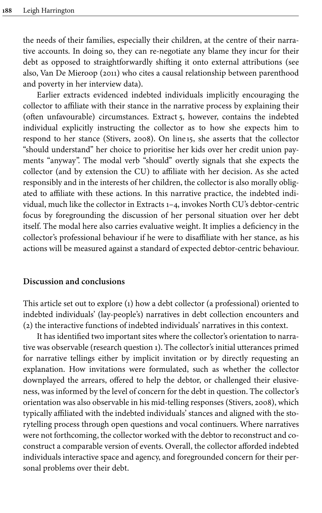the needs of their families, especially their children, at the centre of their narrative accounts. In doing so, they can re-negotiate any blame they incur for their debt as opposed to straightforwardly shifting it onto external attributions (see also, [Van De Mieroop \(2011\)](#page-22-3) who cites a causal relationship between parenthood and poverty in her interview data).

Earlier extracts evidenced indebted individuals implicitly encouraging the collector to affiliate with their stance in the narrative process by explaining their (often unfavourable) circumstances. [Extract](#page-14-0) 5, however, contains the indebted individual explicitly instructing the collector as to how she expects him to respond to her stance ([Stivers, 2008\)](#page-21-12). On line 15, she asserts that the collector "should understand" her choice to prioritise her kids over her credit union payments "anyway". The modal verb "should" overtly signals that she expects the collector (and by extension the CU) to affiliate with her decision. As she acted responsibly and in the interests of her children, the collector is also morally obligated to affiliate with these actions. In this narrative practice, the indebted individual, much like the collector in [Extracts](#page-8-0) 1–[4](#page-12-0), invokes North CU's debtor-centric focus by foregrounding the discussion of her personal situation over her debt itself. The modal here also carries evaluative weight. It implies a deficiency in the collector's professional behaviour if he were to disaffiliate with her stance, as his actions will be measured against a standard of expected debtor-centric behaviour.

#### **Discussion and conclusions**

This article set out to explore (1) how a debt collector (a professional) oriented to indebted individuals' (lay-people's) narratives in debt collection encounters and (2) the interactive functions of indebted individuals' narratives in this context.

It has identified two important sites where the collector's orientation to narrative was observable (research question 1). The collector's initial utterances primed for narrative tellings either by implicit invitation or by directly requesting an explanation. How invitations were formulated, such as whether the collector downplayed the arrears, offered to help the debtor, or challenged their elusiveness, was informed by the level of concern for the debt in question. The collector's orientation was also observable in his mid-telling responses ([Stivers, 2008\)](#page-21-12), which typically affiliated with the indebted individuals' stances and aligned with the storytelling process through open questions and vocal continuers. Where narratives were not forthcoming, the collector worked with the debtor to reconstruct and coconstruct a comparable version of events. Overall, the collector afforded indebted individuals interactive space and agency, and foregrounded concern for their personal problems over their debt.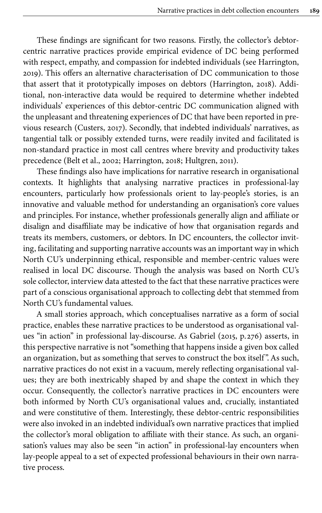These findings are significant for two reasons. Firstly, the collector's debtorcentric narrative practices provide empirical evidence of DC being performed with respect, empathy, and compassion for indebted individuals (see [Harrington,](#page-20-1) [2019\)](#page-20-1). This offers an alternative characterisation of DC communication to those that assert that it prototypically imposes on debtors [\(Harrington, 2018\)](#page-20-0). Additional, non-interactive data would be required to determine whether indebted individuals' experiences of this debtor-centric DC communication aligned with the unpleasant and threatening experiences of DC that have been reported in previous research ([Custers, 2017\)](#page-19-7). Secondly, that indebted individuals' narratives, as tangential talk or possibly extended turns, were readily invited and facilitated is non-standard practice in most call centres where brevity and productivity takes precedence (Belt et [al., 2002](#page-19-9); [Harrington, 2018;](#page-20-0) [Hultgren, 2011\)](#page-20-16).

These findings also have implications for narrative research in organisational contexts. It highlights that analysing narrative practices in professional-lay encounters, particularly how professionals orient to lay-people's stories, is an innovative and valuable method for understanding an organisation's core values and principles. For instance, whether professionals generally align and affiliate or disalign and disaffiliate may be indicative of how that organisation regards and treats its members, customers, or debtors. In DC encounters, the collector inviting, facilitating and supporting narrative accounts was an important way in which North CU's underpinning ethical, responsible and member-centric values were realised in local DC discourse. Though the analysis was based on North CU's sole collector, interview data attested to the fact that these narrative practices were part of a conscious organisational approach to collecting debt that stemmed from North CU's fundamental values.

A small stories approach, which conceptualises narrative as a form of social practice, enables these narrative practices to be understood as organisational values "in action" in professional lay-discourse. As Gabriel ([2015](#page-20-7), p. 276) asserts, in this perspective narrative is not "something that happens inside a given box called an organization, but as something that serves to construct the box itself". As such, narrative practices do not exist in a vacuum, merely reflecting organisational values; they are both inextricably shaped by and shape the context in which they occur. Consequently, the collector's narrative practices in DC encounters were both informed by North CU's organisational values and, crucially, instantiated and were constitutive of them. Interestingly, these debtor-centric responsibilities were also invoked in an indebted individual's own narrative practices that implied the collector's moral obligation to affiliate with their stance. As such, an organisation's values may also be seen "in action" in professional-lay encounters when lay-people appeal to a set of expected professional behaviours in their own narrative process.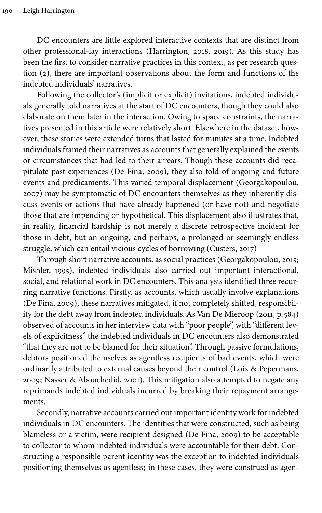DC encounters are little explored interactive contexts that are distinct from other professional-lay interactions ([Harrington, 2018,](#page-20-0) [2019](#page-20-1)). As this study has been the first to consider narrative practices in this context, as per research question (2), there are important observations about the form and functions of the indebted individuals' narratives.

Following the collector's (implicit or explicit) invitations, indebted individuals generally told narratives at the start of DC encounters, though they could also elaborate on them later in the interaction. Owing to space constraints, the narratives presented in this article were relatively short. Elsewhere in the dataset, however, these stories were extended turns that lasted for minutes at a time. Indebted individuals framed their narratives as accounts that generally explained the events or circumstances that had led to their arrears. Though these accounts did recapitulate past experiences [\(De Fina, 2009\)](#page-19-10), they also told of ongoing and future events and predicaments. This varied temporal displacement ([Georgakopoulou,](#page-20-2) [2007\)](#page-20-2) may be symptomatic of DC encounters themselves as they inherently discuss events or actions that have already happened (or have not) and negotiate those that are impending or hypothetical. This displacement also illustrates that, in reality, financial hardship is not merely a discrete retrospective incident for those in debt, but an ongoing, and perhaps, a prolonged or seemingly endless struggle, which can entail vicious cycles of borrowing [\(Custers, 2017\)](#page-19-7)

Through short narrative accounts, as social practices [\(Georgakopoulou, 2015](#page-20-5); [Mishler, 1995](#page-21-1)), indebted individuals also carried out important interactional, social, and relational work in DC encounters. This analysis identified three recurring narrative functions. Firstly, as accounts, which usually involve explanations [\(De Fina, 2009](#page-19-10)), these narratives mitigated, if not completely shifted, responsibility for the debt away from indebted individuals. As Van De Mieroop [\(2011](#page-22-3), p. 584) observed of accounts in her interview data with "poor people", with "different levels of explicitness" the indebted individuals in DC encounters also demonstrated "that they are not to be blamed for their situation". Through passive formulations, debtors positioned themselves as agentless recipients of bad events, which were ordinarily attributed to external causes beyond their control [\(Loix & Pepermans,](#page-21-15) [2009](#page-21-15); [Nasser & Abouchedid, 2001](#page-21-14)). This mitigation also attempted to negate any reprimands indebted individuals incurred by breaking their repayment arrangements.

Secondly, narrative accounts carried out important identity work for indebted individuals in DC encounters. The identities that were constructed, such as being blameless or a victim, were recipient designed [\(De Fina, 2009\)](#page-19-10) to be acceptable to collector to whom indebted individuals were accountable for their debt. Constructing a responsible parent identity was the exception to indebted individuals positioning themselves as agentless; in these cases, they were construed as agen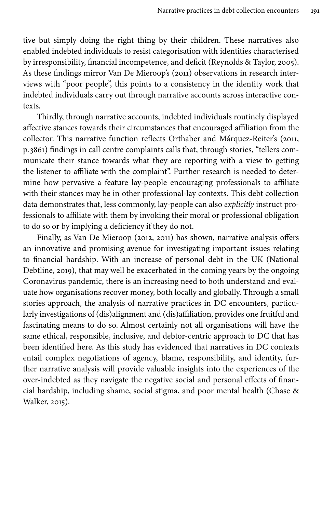tive but simply doing the right thing by their children. These narratives also enabled indebted individuals to resist categorisation with identities characterised by irresponsibility, financial incompetence, and deficit [\(Reynolds & Taylor, 2005\)](#page-21-16). As these findings mirror [Van De Mieroop's \(2011\)](#page-22-3) observations in research interviews with "poor people", this points to a consistency in the identity work that indebted individuals carry out through narrative accounts across interactive contexts.

Thirdly, through narrative accounts, indebted individuals routinely displayed affective stances towards their circumstances that encouraged affiliation from the collector. This narrative function reflects Orthaber and Márquez-Reiter's [\(2011](#page-21-10), p. 3861) findings in call centre complaints calls that, through stories, "tellers communicate their stance towards what they are reporting with a view to getting the listener to affiliate with the complaint". Further research is needed to determine how pervasive a feature lay-people encouraging professionals to affiliate with their stances may be in other professional-lay contexts. This debt collection data demonstrates that, less commonly, lay-people can also *explicitly* instruct professionals to affiliate with them by invoking their moral or professional obligation to do so or by implying a deficiency if they do not.

Finally, as Van De Mieroop [\(2012](#page-22-4), [2011](#page-22-3)) has shown, narrative analysis offers an innovative and promising avenue for investigating important issues relating to financial hardship. With an increase of personal debt in the UK [\(National](#page-21-19) [Debtline, 2019](#page-21-19)), that may well be exacerbated in the coming years by the ongoing Coronavirus pandemic, there is an increasing need to both understand and evaluate how organisations recover money, both locally and globally. Through a small stories approach, the analysis of narrative practices in DC encounters, particularly investigations of (dis)alignment and (dis)affiliation, provides one fruitful and fascinating means to do so. Almost certainly not all organisations will have the same ethical, responsible, inclusive, and debtor-centric approach to DC that has been identified here. As this study has evidenced that narratives in DC contexts entail complex negotiations of agency, blame, responsibility, and identity, further narrative analysis will provide valuable insights into the experiences of the over-indebted as they navigate the negative social and personal effects of financial hardship, including shame, social stigma, and poor mental health ([Chase &](#page-19-11) [Walker, 2015](#page-19-11)).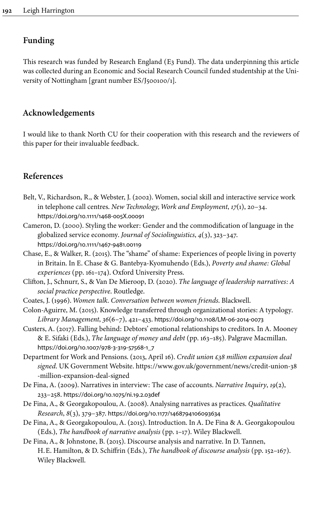# **Funding**

<span id="page-19-12"></span>This research was funded by Research England (E3 Fund). The data underpinning this article was collected during an Economic and Social Research Council funded studentship at the Uni-versity of Nottingham [grant number [ES/J500100/1\]](#page-19-12).

# **Acknowledgements**

I would like to thank North CU for their cooperation with this research and the reviewers of this paper for their invaluable feedback.

# **References**

- <span id="page-19-9"></span>Belt, V., Richardson, R., & Webster, J. (2002). Women, social skill and interactive service work in telephone call centres. *New Technology, Work and Employment*, *17*(1), 20–34. [https://doi.org/10.1111/1468-005X.00091](https://doi.org/10.1111%2F1468-005X.00091)
- <span id="page-19-6"></span>Cameron, D. (2000). Styling the worker: Gender and the commodification of language in the globalized service economy. *Journal of Sociolinguistics*, *4*(3), 323–347. [https://doi.org/10.1111/1467-9481.00119](https://doi.org/10.1111%2F1467-9481.00119)
- <span id="page-19-11"></span>Chase, E., & Walker, R. (2015). The "shame" of shame: Experiences of people living in poverty in Britain. In E. Chase & G. Bantebya-Kyomuhendo (Eds.), *Poverty and shame: Global experiences* (pp. 161–174). Oxford University Press.
- <span id="page-19-5"></span>Clifton, J., Schnurr, S., & Van De Mieroop, D. (2020). *The language of leadership narratives: A social practice perspective*. Routledge.
- <span id="page-19-2"></span>Coates, J. (1996). *Women talk. Conversation between women friends*. Blackwell.
- <span id="page-19-4"></span>Colon-Aguirre, M. (2015). Knowledge transferred through organizational stories: A typology. *Library Management*, *36*(6–7), 421–433. [https://doi.org/10.1108/LM-06-2014-0073](https://doi.org/10.1108%2FLM-06-2014-0073)
- <span id="page-19-7"></span>Custers, A. (2017). Falling behind: Debtors' emotional relationships to creditors. In A. Mooney & E. Sifaki (Eds.), *The language of money and debt* (pp. 163–185). Palgrave Macmillan. [https://doi.org/10.1007/978-3-319-57568-1\\_7](https://doi.org/10.1007%2F978-3-319-57568-1_7)
- <span id="page-19-8"></span>Department for Work and Pensions. (2013, April 16). *Credit union £38 million expansion deal signed*. UK Government Website. [https://www.gov.uk/government/news/credit-union-38](https://www.gov.uk/government/news/credit-union-38-million-expansion-deal-signed) [-million-expansion-deal-signed](https://www.gov.uk/government/news/credit-union-38-million-expansion-deal-signed)
- <span id="page-19-10"></span>De Fina, A. (2009). Narratives in interview: The case of accounts. *Narrative Inquiry*, *19*(2), 233–258. [https://doi.org/10.1075/ni.19.2.03def](https://doi.org/10.1075%2Fni.19.2.03def)
- <span id="page-19-0"></span>De Fina, A., & Georgakopoulou, A. (2008). Analysing narratives as practices. *Qualitative Research*, *8*(3), 379–387. [https://doi.org/10.1177/1468794106093634](https://doi.org/10.1177%2F1468794106093634)
- <span id="page-19-3"></span>De Fina, A., & Georgakopoulou, A. (2015). Introduction. In A. De Fina & A. Georgakopoulou (Eds.), *The handbook of narrative analysis* (pp. 1–17). Wiley Blackwell.
- <span id="page-19-1"></span>De Fina, A., & Johnstone, B. (2015). Discourse analysis and narrative. In D. Tannen, H.E. Hamilton, & D. Schiffrin (Eds.), *The handbook of discourse analysis* (pp. 152–167). Wiley Blackwell.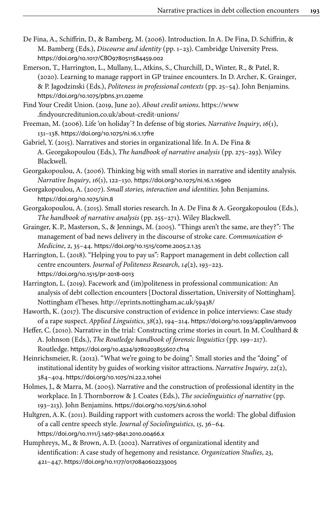- <span id="page-20-6"></span>De Fina, A., Schiffrin, D., & Bamberg, M. (2006). Introduction. In A. De Fina, D. Schiffrin, & M. Bamberg (Eds.), *Discourse and identity* (pp. 1–23). Cambridge University Press. [https://doi.org/10.1017/CBO9780511584459.002](https://doi.org/10.1017%2FCBO9780511584459.002)
- <span id="page-20-13"></span>Emerson, T., Harrington, L., Mullany, L., Atkins, S., Churchill, D., Winter, R., & Patel, R. (2020). Learning to manage rapport in GP trainee encounters. In D. Archer, K. Grainger, & P. Jagodzinski (Eds.), *Politeness in professional contexts* (pp. 25–54). John Benjamins. [https://doi.org/10.1075/pbns.311.02eme](https://doi.org/10.1075%2Fpbns.311.02eme)

<span id="page-20-15"></span>Find Your Credit Union. (2019, June 20). *About credit unions*. [https://www](https://www.findyourcreditunion.co.uk/about-credit-unions/) [.findyourcreditunion.co.uk/about-credit-unions/](https://www.findyourcreditunion.co.uk/about-credit-unions/)

<span id="page-20-3"></span>Freeman, M. (2006). Life 'on holiday'? In defense of big stories. *Narrative Inquiry*, *16*(1), 131–138. [https://doi.org/10.1075/ni.16.1.17fre](https://doi.org/10.1075%2Fni.16.1.17fre)

<span id="page-20-7"></span>Gabriel, Y. (2015). Narratives and stories in organizational life. In A. De Fina & A. Georgakopoulou (Eds.), *The handbook of narrative analysis* (pp. 275–293). Wiley Blackwell.

<span id="page-20-4"></span>Georgakopoulou, A. (2006). Thinking big with small stories in narrative and identity analysis. *Narrative Inquiry*, *16*(1), 122–130. [https://doi.org/10.1075/ni.16.1.16geo](https://doi.org/10.1075%2Fni.16.1.16geo)

<span id="page-20-2"></span>Georgakopoulou, A. (2007). *Small stories, interaction and identities*. John Benjamins. [https://doi.org/10.1075/sin.8](https://doi.org/10.1075%2Fsin.8)

- <span id="page-20-5"></span>Georgakopoulou, A. (2015). Small stories research. In A. De Fina & A. Georgakopoulou (Eds.), *The handbook of narrative analysis* (pp. 255–271). Wiley Blackwell.
- <span id="page-20-14"></span>Grainger, K.P., Masterson, S., & Jennings, M. (2005). "Things aren't the same, are they?": The management of bad news delivery in the discourse of stroke care. *Communication & Medicine*, *2*, 35–44. [https://doi.org/10.1515/come.2005.2.1.35](https://doi.org/10.1515%2Fcome.2005.2.1.35)

<span id="page-20-0"></span>Harrington, L. (2018). "Helping you to pay us": Rapport management in debt collection call centre encounters. *Journal of Politeness Research*, *14*(2), 193–223. [https://doi.org/10.1515/pr-2018-0013](https://doi.org/10.1515%2Fpr-2018-0013)

- <span id="page-20-1"></span>Harrington, L. (2019). Facework and (im)politeness in professional communication: An analysis of debt collection encounters [Doctoral dissertation, University of Nottingham]. Nottingham eTheses. <http://eprints.nottingham.ac.uk/59438/>
- <span id="page-20-11"></span>Haworth, K. (2017). The discursive construction of evidence in police interviews: Case study of a rape suspect. *Applied Linguistics*, *38*(2), 194–214. [https://doi.org/10.1093/applin/amv009](https://doi.org/10.1093%2Fapplin%2Famv009)
- <span id="page-20-12"></span>Heffer, C. (2010). Narrative in the trial: Constructing crime stories in court. In M. Coulthard & A. Johnson (Eds.), *The Routledge handbook of forensic linguistics* (pp. 199–217). Routledge. [https://doi.org/10.4324/9780203855607.ch14](https://doi.org/10.4324%2F9780203855607.ch14)

<span id="page-20-9"></span>Heinrichsmeier, R. (2012). "What we're going to be doing": Small stories and the "doing" of institutional identity by guides of working visitor attractions. *Narrative Inquiry*, *22*(2), 384–404. [https://doi.org/10.1075/ni.22.2.10hei](https://doi.org/10.1075%2Fni.22.2.10hei)

- <span id="page-20-10"></span>Holmes, J., & Marra, M. (2005). Narrative and the construction of professional identity in the workplace. In J. Thornborrow & J. Coates (Eds.), *The sociolinguistics of narrative* (pp. 193–213). John Benjamins. [https://doi.org/10.1075/sin.6.10hol](https://doi.org/10.1075%2Fsin.6.10hol)
- <span id="page-20-16"></span>Hultgren, A.K. (2011). Building rapport with customers across the world: The global diffusion of a call centre speech style. *Journal of Sociolinguistics*, *15*, 36–64. [https://doi.org/10.1111/j.1467-9841.2010.00466.x](https://doi.org/10.1111%2Fj.1467-9841.2010.00466.x)
- <span id="page-20-8"></span>Humphreys, M., & Brown, A.D. (2002). Narratives of organizational identity and identification: A case study of hegemony and resistance. *Organization Studies*, *23*, 421–447. [https://doi.org/10.1177/0170840602233005](https://doi.org/10.1177%2F0170840602233005)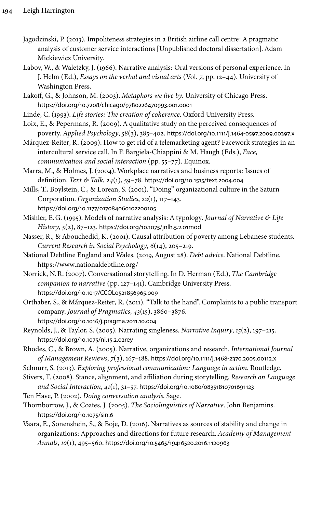- <span id="page-21-9"></span>Jagodzinski, P. (2013). Impoliteness strategies in a British airline call centre: A pragmatic analysis of customer service interactions [Unpublished doctoral dissertation]. Adam Mickiewicz University.
- <span id="page-21-0"></span>Labov, W., & Waletzky, J. (1966). Narrative analysis: Oral versions of personal experience. In J. Helm (Ed.), *Essays on the verbal and visual arts* (Vol. *7*, pp. 12–44). University of Washington Press.

<span id="page-21-17"></span>Lakoff, G., & Johnson, M. (2003). *Metaphors we live by*. University of Chicago Press. [https://doi.org/10.7208/chicago/9780226470993.001.0001](https://doi.org/10.7208%2Fchicago%2F9780226470993.001.0001)

- <span id="page-21-18"></span>Linde, C. (1993). *Life stories: The creation of coherence*. Oxford University Press.
- <span id="page-21-15"></span>Loix, E., & Pepermans, R. (2009). A qualitative study on the perceived consequences of poverty. *Applied Psychology*, *58*(3), 385–402. [https://doi.org/10.1111/j.1464-0597.2009.00397.x](https://doi.org/10.1111%2Fj.1464-0597.2009.00397.x)

<span id="page-21-11"></span>Márquez-Reiter, R. (2009). How to get rid of a telemarketing agent? Facework strategies in an intercultural service call. In F. Bargiela-Chiappini & M. Haugh (Eds.), *Face, communication and social interaction* (pp. 55–77). Equinox.

<span id="page-21-2"></span>Marra, M., & Holmes, J. (2004). Workplace narratives and business reports: Issues of definition. *Text & Talk*, *24*(1), 59–78. [https://doi.org/10.1515/text.2004.004](https://doi.org/10.1515%2Ftext.2004.004)

<span id="page-21-5"></span>Mills, T., Boylstein, C., & Lorean, S. (2001). "Doing" organizational culture in the Saturn Corporation. *Organization Studies*, *22*(1), 117–143. [https://doi.org/10.1177/017084060102200105](https://doi.org/10.1177%2F017084060102200105)

<span id="page-21-1"></span>Mishler, E.G. (1995). Models of narrative analysis: A typology. *Journal of Narrative & Life History*, *5*(2), 87–123. [https://doi.org/10.1075/jnlh.5.2.01mod](https://doi.org/10.1075%2Fjnlh.5.2.01mod)

<span id="page-21-14"></span>Nasser, R., & Abouchedid, K. (2001). Causal attribution of poverty among Lebanese students. *Current Research in Social Psychology*, *6*(14), 205–219.

<span id="page-21-19"></span>National Debtline England and Wales. (2019, August 28). *Debt advice*. National Debtline. <https://www.nationaldebtline.org/>

<span id="page-21-3"></span>Norrick, N.R. (2007). Conversational storytelling. In D. Herman (Ed.), *The Cambridge companion to narrative* (pp. 127–141). Cambridge University Press. [https://doi.org/10.1017/CCOL0521856965.009](https://doi.org/10.1017%2FCCOL0521856965.009)

<span id="page-21-10"></span>Orthaber, S., & Márquez-Reiter, R. (2011). "Talk to the hand". Complaints to a public transport company. *Journal of Pragmatics*, *43*(15), 3860–3876. [https://doi.org/10.1016/j.pragma.2011.10.004](https://doi.org/10.1016%2Fj.pragma.2011.10.004)

<span id="page-21-16"></span>Reynolds, J., & Taylor, S. (2005). Narrating singleness. *Narrative Inquiry*, *15*(2), 197–215. [https://doi.org/10.1075/ni.15.2.02rey](https://doi.org/10.1075%2Fni.15.2.02rey)

<span id="page-21-7"></span>Rhodes, C., & Brown, A. (2005). Narrative, organizations and research. *International Journal of Management Reviews*, *7*(3), 167–188. [https://doi.org/10.1111/j.1468-2370.2005.00112.x](https://doi.org/10.1111%2Fj.1468-2370.2005.00112.x)

<span id="page-21-8"></span>Schnurr, S. (2013). *Exploring professional communication: Language in action*. Routledge.

<span id="page-21-12"></span>Stivers, T. (2008). Stance, alignment, and affiliation during storytelling. *Research on Language and Social Interaction*, *41*(1), 31–57. [https://doi.org/10.1080/08351810701691123](https://doi.org/10.1080%2F08351810701691123)

<span id="page-21-13"></span>Ten Have, P. (2002). *Doing conversation analysis*. Sage.

<span id="page-21-4"></span>Thornborrow, J., & Coates, J. (2005). *The Sociolinguistics of Narrative*. John Benjamins. [https://doi.org/10.1075/sin.6](https://doi.org/10.1075%2Fsin.6)

<span id="page-21-6"></span>Vaara, E., Sonenshein, S., & Boje, D. (2016). Narratives as sources of stability and change in organizations: Approaches and directions for future research. *Academy of Management Annals*, *10*(1), 495–560. [https://doi.org/10.5465/19416520.2016.1120963](https://doi.org/10.5465%2F19416520.2016.1120963)